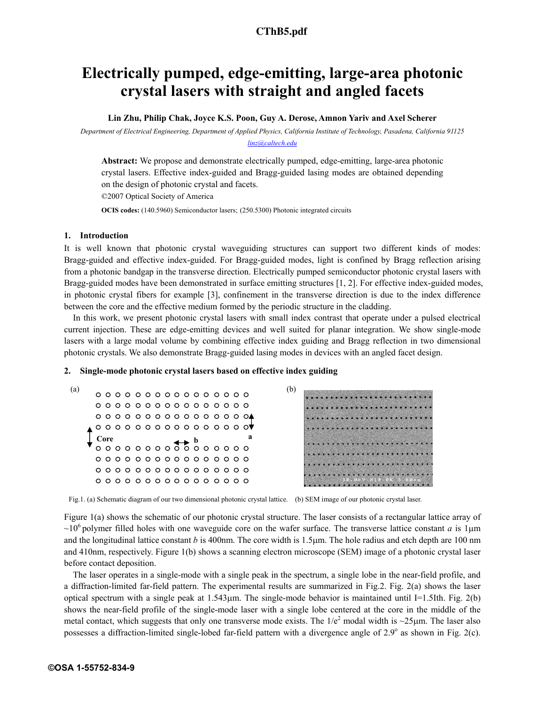# **a1978\_1.pdf CThB5.pdf**

## **Electrically pumped, edge-emitting, large-area photonic crystal lasers with straight and angled facets**

**Lin Zhu, Philip Chak, Joyce K.S. Poon, Guy A. Derose, Amnon Yariv and Axel Scherer** 

*Department of Electrical Engineering, Department of Applied Physics, California Institute of Technology, Pasadena, California 91125 linz@caltech.edu*

**Abstract:** We propose and demonstrate electrically pumped, edge-emitting, large-area photonic crystal lasers. Effective index-guided and Bragg-guided lasing modes are obtained depending on the design of photonic crystal and facets.

©2007 Optical Society of America

**OCIS codes:** (140.5960) Semiconductor lasers; (250.5300) Photonic integrated circuits

### **1. Introduction**

It is well known that photonic crystal waveguiding structures can support two different kinds of modes: Bragg-guided and effective index-guided. For Bragg-guided modes, light is confined by Bragg reflection arising from a photonic bandgap in the transverse direction. Electrically pumped semiconductor photonic crystal lasers with Bragg-guided modes have been demonstrated in surface emitting structures [1, 2]. For effective index-guided modes, in photonic crystal fibers for example [3], confinement in the transverse direction is due to the index difference between the core and the effective medium formed by the periodic structure in the cladding.

In this work, we present photonic crystal lasers with small index contrast that operate under a pulsed electrical current injection. These are edge-emitting devices and well suited for planar integration. We show single-mode lasers with a large modal volume by combining effective index guiding and Bragg reflection in two dimensional photonic crystals. We also demonstrate Bragg-guided lasing modes in devices with an angled facet design.

### **2. Single-mode photonic crystal lasers based on effective index guiding**



Fig.1. (a) Schematic diagram of our two dimensional photonic crystal lattice. (b) SEM image of our photonic crystal laser.

Figure 1(a) shows the schematic of our photonic crystal structure. The laser consists of a rectangular lattice array of  $\sim$ 10<sup>6</sup> polymer filled holes with one waveguide core on the wafer surface. The transverse lattice constant *a* is 1µm and the longitudinal lattice constant  $b$  is 400nm. The core width is 1.5 $\mu$ m. The hole radius and etch depth are 100 nm and 410nm, respectively. Figure 1(b) shows a scanning electron microscope (SEM) image of a photonic crystal laser before contact deposition.

The laser operates in a single-mode with a single peak in the spectrum, a single lobe in the near-field profile, and a diffraction-limited far-field pattern. The experimental results are summarized in Fig.2. Fig. 2(a) shows the laser optical spectrum with a single peak at 1.543µm. The single-mode behavior is maintained until I=1.5Ith. Fig. 2(b) shows the near-field profile of the single-mode laser with a single lobe centered at the core in the middle of the metal contact, which suggests that only one transverse mode exists. The  $1/e^2$  modal width is ~25 $\mu$ m. The laser also possesses a diffraction-limited single-lobed far-field pattern with a divergence angle of  $2.9^\circ$  as shown in Fig. 2(c).